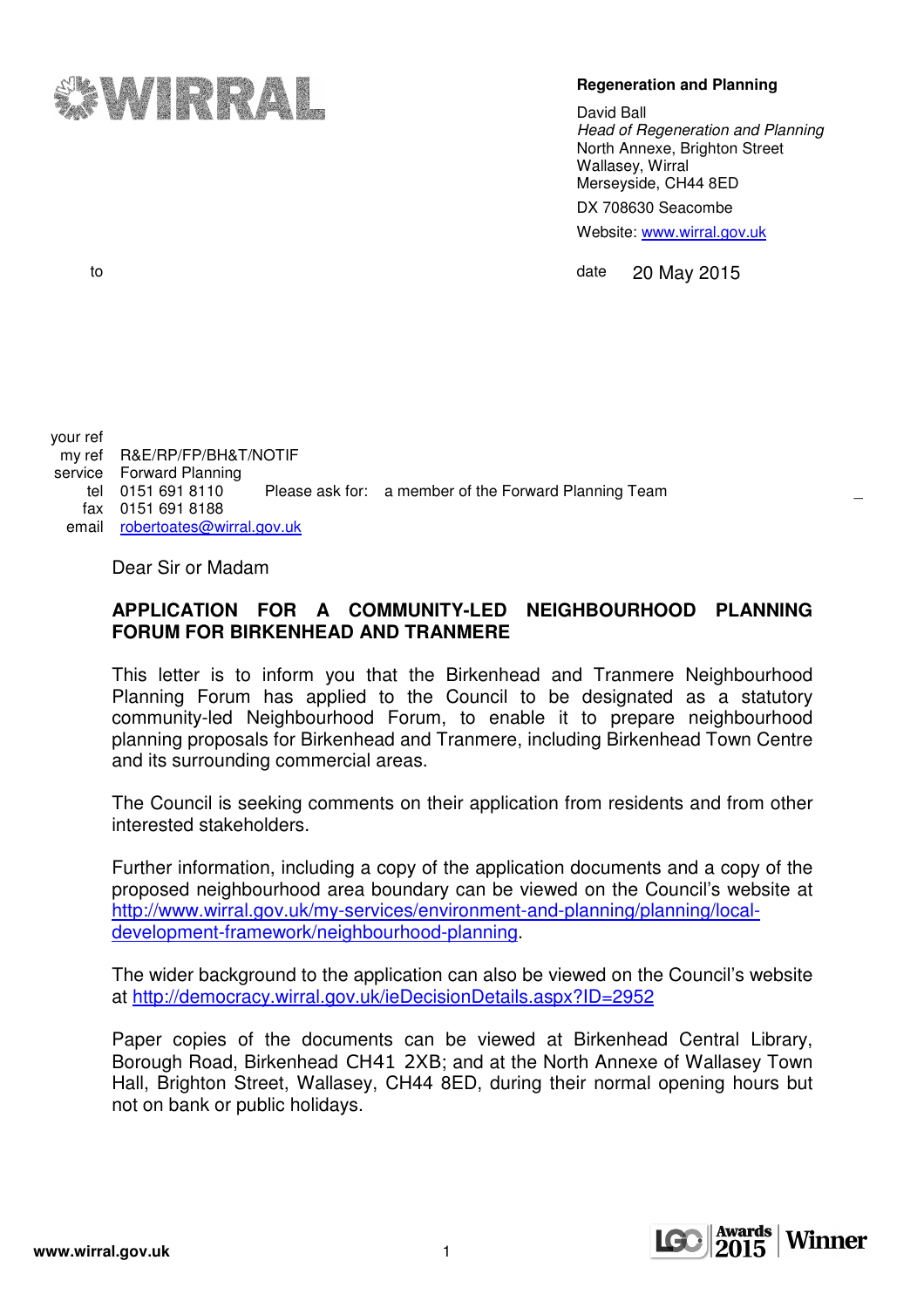

## **Regeneration and Planning**

David Ball Head of Regeneration and Planning North Annexe, Brighton Street Wallasey, Wirral Merseyside, CH44 8ED DX 708630 Seacombe

Website: www.wirral.gov.uk

to date 20 May 2015

your ref my ref R&E/RP/FP/BH&T/NOTIF service Forward Planning<br>tel 0151 691 8110 Please ask for: a member of the Forward Planning Team fax 0151 691 8188 email robertoates@wirral.gov.uk

Dear Sir or Madam

## **APPLICATION FOR A COMMUNITY-LED NEIGHBOURHOOD PLANNING FORUM FOR BIRKENHEAD AND TRANMERE**

This letter is to inform you that the Birkenhead and Tranmere Neighbourhood Planning Forum has applied to the Council to be designated as a statutory community-led Neighbourhood Forum, to enable it to prepare neighbourhood planning proposals for Birkenhead and Tranmere, including Birkenhead Town Centre and its surrounding commercial areas.

The Council is seeking comments on their application from residents and from other interested stakeholders.

Further information, including a copy of the application documents and a copy of the proposed neighbourhood area boundary can be viewed on the Council's website at http://www.wirral.gov.uk/my-services/environment-and-planning/planning/localdevelopment-framework/neighbourhood-planning.

The wider background to the application can also be viewed on the Council's website at http://democracy.wirral.gov.uk/ieDecisionDetails.aspx?ID=2952

Paper copies of the documents can be viewed at Birkenhead Central Library, Borough Road, Birkenhead CH41 2XB; and at the North Annexe of Wallasey Town Hall, Brighton Street, Wallasey, CH44 8ED, during their normal opening hours but not on bank or public holidays.